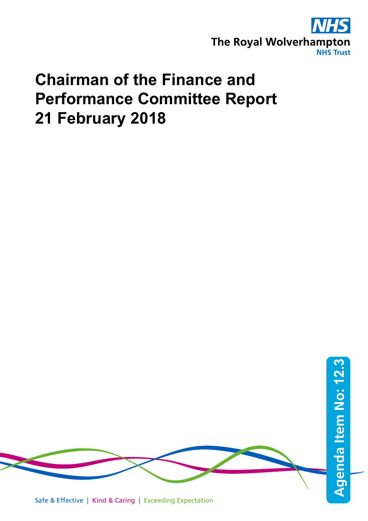

# **Chairman of the Finance and Performance Committee Report 21 February 2018**

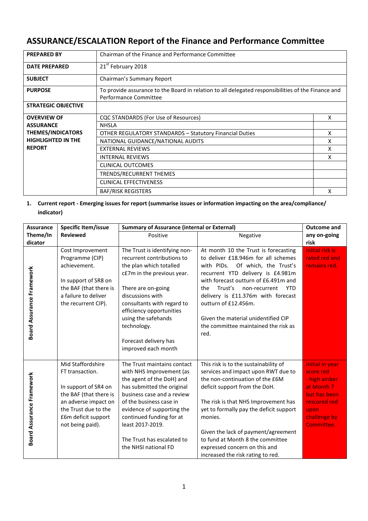# **ASSURANCE/ESCALATION Report of the Finance and Performance Committee**

| <b>PREPARED BY</b>         | Chairman of the Finance and Performance Committee                                                                           |   |
|----------------------------|-----------------------------------------------------------------------------------------------------------------------------|---|
| <b>DATE PREPARED</b>       | 21 <sup>st</sup> February 2018                                                                                              |   |
| <b>SUBJECT</b>             | Chairman's Summary Report                                                                                                   |   |
| <b>PURPOSE</b>             | To provide assurance to the Board in relation to all delegated responsibilities of the Finance and<br>Performance Committee |   |
| <b>STRATEGIC OBJECTIVE</b> |                                                                                                                             |   |
| <b>OVERVIEW OF</b>         | CQC STANDARDS (For Use of Resources)                                                                                        | X |
| <b>ASSURANCE</b>           | <b>NHSLA</b>                                                                                                                |   |
| <b>THEMES/INDICATORS</b>   | <b>OTHER REGULATORY STANDARDS - Statutory Financial Duties</b>                                                              |   |
| <b>HIGHLIGHTED IN THE</b>  | NATIONAL GUIDANCE/NATIONAL AUDITS                                                                                           | x |
| <b>REPORT</b>              | <b>EXTERNAL REVIEWS</b>                                                                                                     | x |
|                            | <b>INTERNAL REVIEWS</b>                                                                                                     | x |
|                            | CLINICAL OUTCOMES                                                                                                           |   |
|                            | TRENDS/RECURRENT THEMES                                                                                                     |   |
|                            | <b>CLINICAL EFFECTIVENESS</b>                                                                                               |   |
|                            | <b>BAF/RISK REGISTERS</b>                                                                                                   | x |

# **1. Current report - Emerging issues for report (summarise issues or information impacting on the area/compliance/ indicator)**

| <b>Assurance</b>          | <b>Specific Item/issue</b>                                                                                                                                                        | <b>Summary of Assurance (internal or External)</b>                                                                                                                                                                                                                                                              |                                                                                                                                                                                                                                                                                                                                                                                                    | <b>Outcome and</b>                                                                                                               |
|---------------------------|-----------------------------------------------------------------------------------------------------------------------------------------------------------------------------------|-----------------------------------------------------------------------------------------------------------------------------------------------------------------------------------------------------------------------------------------------------------------------------------------------------------------|----------------------------------------------------------------------------------------------------------------------------------------------------------------------------------------------------------------------------------------------------------------------------------------------------------------------------------------------------------------------------------------------------|----------------------------------------------------------------------------------------------------------------------------------|
| Theme/In                  | <b>Reviewed</b>                                                                                                                                                                   | Positive                                                                                                                                                                                                                                                                                                        | Negative                                                                                                                                                                                                                                                                                                                                                                                           | any on-going                                                                                                                     |
| dicator                   |                                                                                                                                                                                   |                                                                                                                                                                                                                                                                                                                 |                                                                                                                                                                                                                                                                                                                                                                                                    | risk                                                                                                                             |
| Board Assurance Framework | Cost Improvement<br>Programme (CIP)<br>achievement.<br>In support of SR8 on<br>the BAF (that there is<br>a failure to deliver<br>the recurrent CIP).                              | The Trust is identifying non-<br>recurrent contributions to<br>the plan which totalled<br>c£7m in the previous year.<br>There are on-going<br>discussions with<br>consultants with regard to<br>efficiency opportunities<br>using the safehands<br>technology.<br>Forecast delivery has<br>improved each month  | At month 10 the Trust is forecasting<br>to deliver £18.946m for all schemes<br>with PIDs. Of which, the Trust's<br>recurrent YTD delivery is £4.981m<br>with forecast outturn of £6.491m and<br>Trust's<br><b>YTD</b><br>the<br>non-recurrent<br>delivery is £11.376m with forecast<br>outturn of £12.456m.<br>Given the material unidentified CIP<br>the committee maintained the risk as<br>red. | <b>Initial risk is</b><br>rated red and<br>remains red.                                                                          |
| Board Assurance Framework | Mid Staffordshire<br>FT transaction.<br>In support of SR4 on<br>the BAF (that there is<br>an adverse impact on<br>the Trust due to the<br>£6m deficit support<br>not being paid). | The Trust maintains contact<br>with NHS Improvement (as<br>the agent of the DoH) and<br>has submitted the original<br>business case and a review<br>of the business case in<br>evidence of supporting the<br>continued funding for at<br>least 2017-2019.<br>The Trust has escalated to<br>the NHSI national FD | This risk is to the sustainability of<br>services and impact upon RWT due to<br>the non-continuation of the £6M<br>deficit support from the DoH.<br>The risk is that NHS Improvement has<br>yet to formally pay the deficit support<br>monies.<br>Given the lack of payment/agreement<br>to fund at Month 8 the committee<br>expressed concern on this and<br>increased the risk rating to red.    | Initial in year<br>score red<br>- high amber<br>at Month 7<br>but has been<br>rescored red<br>upon<br>challenge by<br>Committee. |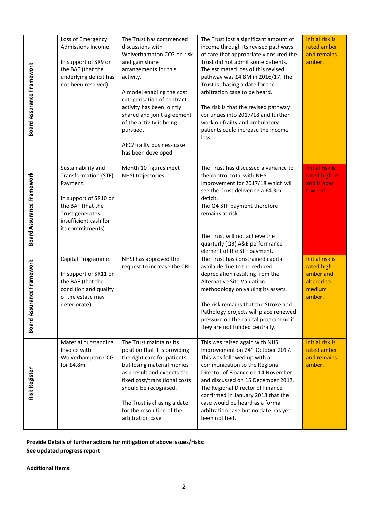| <b>Board Assurance Framework</b> | Loss of Emergency<br>Admissions Income.<br>In support of SR9 on<br>the BAF (that the<br>underlying deficit has<br>not been resolved).                                 | The Trust has commenced<br>discussions with<br>Wolverhampton CCG on risk<br>and gain share<br>arrangements for this<br>activity.<br>A model enabling the cost<br>categorisation of contract<br>activity has been jointly<br>shared and joint agreement<br>of the activity is being<br>pursued.<br>AEC/Frailty business case<br>has been developed | The Trust lost a significant amount of<br>income through its revised pathways<br>of care that appropriately ensured the<br>Trust did not admit some patients.<br>The estimated loss of this revised<br>pathway was £4.8M in 2016/17. The<br>Trust is chasing a date for the<br>arbitration case to be heard.<br>The risk is that the revised pathway<br>continues into 2017/18 and further<br>work on frailty and ambulatory<br>patients could increase the income<br>loss. | <b>Initial risk is</b><br>rated amber<br>and remains<br>amber.                      |
|----------------------------------|-----------------------------------------------------------------------------------------------------------------------------------------------------------------------|---------------------------------------------------------------------------------------------------------------------------------------------------------------------------------------------------------------------------------------------------------------------------------------------------------------------------------------------------|-----------------------------------------------------------------------------------------------------------------------------------------------------------------------------------------------------------------------------------------------------------------------------------------------------------------------------------------------------------------------------------------------------------------------------------------------------------------------------|-------------------------------------------------------------------------------------|
| <b>Board Assurance Framework</b> | Sustainability and<br>Transformation (STF)<br>Payment.<br>In support of SR10 on<br>the BAF (that the<br>Trust generates<br>insufficient cash for<br>its commitments). | Month 10 figures meet<br>NHSI trajectories                                                                                                                                                                                                                                                                                                        | The Trust has discussed a variance to<br>the control total with NHS<br>Improvement for 2017/18 which will<br>see the Trust delivering a £4.3m<br>deficit.<br>The Q4 STF payment therefore<br>remains at risk.<br>The Trust will not achieve the<br>quarterly (Q3) A&E performance<br>element of the STF payment.                                                                                                                                                            | Initial risk is<br>rated high red<br>and is now<br>low red.                         |
| Board Assurance Framework        | Capital Programme.<br>In support of SR11 on<br>the BAF (that the<br>condition and quality<br>of the estate may<br>deteriorate).                                       | NHSI has approved the<br>request to increase the CRL.                                                                                                                                                                                                                                                                                             | The Trust has constrained capital<br>available due to the reduced<br>depreciation resulting from the<br>Alternative Site Valuation<br>methodology on valuing its assets.<br>The risk remains that the Stroke and<br>Pathology projects will place renewed<br>pressure on the capital programme if<br>they are not funded centrally.                                                                                                                                         | <b>Initial risk is</b><br>rated high<br>amber and<br>altered to<br>medium<br>amber. |
| <b>Risk Register</b>             | Material outstanding<br>Invoice with<br>Wolverhampton CCG<br>for £4.8m                                                                                                | The Trust maintains its<br>position that it is providing<br>the right care for patients<br>but losing material monies<br>as a result and expects the<br>fixed cost/transitional costs<br>should be recognised.<br>The Trust is chasing a date<br>for the resolution of the<br>arbitration case                                                    | This was raised again with NHS<br>Improvement on 24 <sup>th</sup> October 2017.<br>This was followed up with a<br>communication to the Regional<br>Director of Finance on 14 November<br>and discussed on 15 December 2017.<br>The Regional Director of Finance<br>confirmed in January 2018 that the<br>case would be heard as a formal<br>arbitration case but no date has yet<br>been notified.                                                                          | Initial risk is<br>rated amber<br>and remains<br>amber.                             |
| <b>Additional Items:</b>         | See updated progress report                                                                                                                                           | Provide Details of further actions for mitigation of above issues/risks:                                                                                                                                                                                                                                                                          |                                                                                                                                                                                                                                                                                                                                                                                                                                                                             |                                                                                     |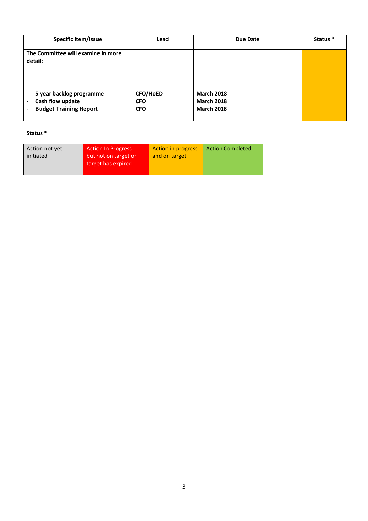| Specific item/Issue                                                                                            | Lead                                 | Due Date                                                    | Status * |
|----------------------------------------------------------------------------------------------------------------|--------------------------------------|-------------------------------------------------------------|----------|
| The Committee will examine in more<br>detail:                                                                  |                                      |                                                             |          |
| 5 year backlog programme<br>-<br>Cash flow update<br>$\overline{\phantom{0}}$<br><b>Budget Training Report</b> | CFO/HoED<br><b>CFO</b><br><b>CFO</b> | <b>March 2018</b><br><b>March 2018</b><br><b>March 2018</b> |          |

# **Status \***

| <b>Action In Progress</b><br>Action not yet<br>but not on target or<br>initiated<br>target has expired | <b>Action in progress</b><br>and on target | <b>Action Completed</b> |
|--------------------------------------------------------------------------------------------------------|--------------------------------------------|-------------------------|
|--------------------------------------------------------------------------------------------------------|--------------------------------------------|-------------------------|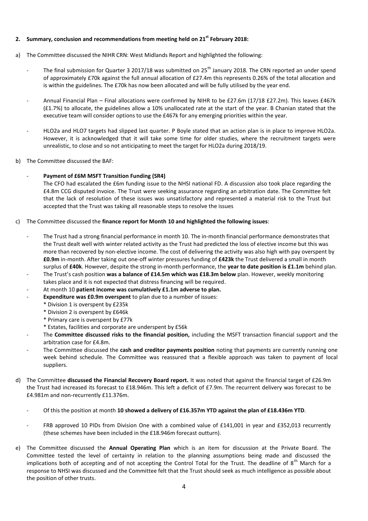#### **2. Summary, conclusion and recommendations from meeting held on 21st February 2018:**

- a) The Committee discussed the NIHR CRN: West Midlands Report and highlighted the following:
	- The final submission for Quarter 3 2017/18 was submitted on  $25<sup>th</sup>$  January 2018. The CRN reported an under spend of approximately £70k against the full annual allocation of £27.4m this represents 0.26% of the total allocation and is within the guidelines. The £70k has now been allocated and will be fully utilised by the year end.
	- Annual Financial Plan Final allocations were confirmed by NIHR to be £27.6m (17/18 £27.2m). This leaves £467k (£1.7%) to allocate, the guidelines allow a 10% unallocated rate at the start of the year. B Chanian stated that the executive team will consider options to use the £467k for any emerging priorities within the year.
	- HLO2a and HLO7 targets had slipped last quarter. P Boyle stated that an action plan is in place to improve HLO2a. However, it is acknowledged that it will take some time for older studies, where the recruitment targets were unrealistic, to close and so not anticipating to meet the target for HLO2a during 2018/19.
- b) The Committee discussed the BAF:

### - **Payment of £6M MSFT Transition Funding (SR4)**

The CFO had escalated the £6m funding issue to the NHSI national FD. A discussion also took place regarding the £4.8m CCG disputed invoice. The Trust were seeking assurance regarding an arbitration date. The Committee felt that the lack of resolution of these issues was unsatisfactory and represented a material risk to the Trust but accepted that the Trust was taking all reasonable steps to resolve the issues

- c) The Committee discussed the **finance report for Month 10 and highlighted the following issues**:
	- The Trust had a strong financial performance in month 10. The in-month financial performance demonstrates that the Trust dealt well with winter related activity as the Trust had predicted the loss of elective income but this was more than recovered by non-elective income. The cost of delivering the activity was also high with pay overspent by **£0.9m** in-month. After taking out one-off winter pressures funding of **£423k** the Trust delivered a small in month surplus of **£40k**. However, despite the strong in-month performance, the **year to date position is £1.1m** behind plan.
	- The Trust's cash position **was a balance of £14.5m which was £18.3m below** plan. However, weekly monitoring takes place and it is not expected that distress financing will be required.
	- At month 10 **patient income was cumulatively £1.1m adverse to plan.**
	- **Expenditure was £0.9m overspent** to plan due to a number of issues:
		- \* Division 1 is overspent by £235k
		- \* Division 2 is overspent by £646k
		- \* Primary care is overspent by £77k
		- \* Estates, facilities and corporate are underspent by £56k
	- The **Committee discussed risks to the financial position,** including the MSFT transaction financial support and the arbitration case for £4.8m.
	- The Committee discussed the **cash and creditor payments position** noting that payments are currently running one week behind schedule. The Committee was reassured that a flexible approach was taken to payment of local suppliers.
- d) The Committee **discussed the Financial Recovery Board report.** It was noted that against the financial target of £26.9m the Trust had increased its forecast to £18.946m. This left a deficit of £7.9m. The recurrent delivery was forecast to be £4.981m and non-recurrently £11.376m.
	- Of this the position at month **10 showed a delivery of £16.357m YTD against the plan of £18.436m YTD**.
	- FRB approved 10 PIDs from Division One with a combined value of £141,001 in year and £352,013 recurrently (these schemes have been included in the £18.946m forecast outturn).
- e) The Committee discussed the **Annual Operating Plan** which is an item for discussion at the Private Board. The Committee tested the level of certainty in relation to the planning assumptions being made and discussed the implications both of accepting and of not accepting the Control Total for the Trust. The deadline of  $8<sup>th</sup>$  March for a response to NHSI was discussed and the Committee felt that the Trust should seek as much intelligence as possible about the position of other trusts.